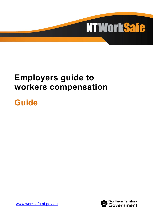

# **Employers guide to workers compensation**

# **Guide**



[www.worksafe.nt.gov.au](http://www.worksafe.nt.gov.au/)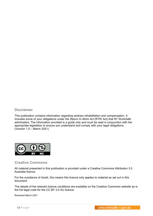#### **Disclaimer**

This publication contains information regarding workers rehabilitation and compensation. It includes some of your obligations under the *Return to Work Act* (RTW Act) that NT WorkSafe administers. The information provided is a guide only and must be read in conjunction with the appropriate legislation to ensure you understand and comply with your legal obligations. (Version 1.5 – March 2021)



#### **Creative Commons**

All material presented in this publication is provided under a Creative Commons Attribution 3.0 Australia licence.

For the avoidance of doubt, this means this licence only applies to material as set out in this document.

The details of the relevant licence conditions are available on the Creative Commons website as is the full legal code for the CC BY 3.0 AU licence.

Reviewed March 2021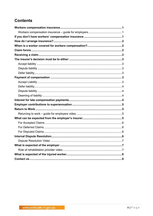# **Contents**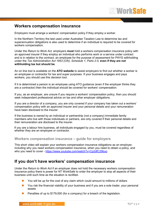

## <span id="page-4-0"></span>**Workers compensation insurance**

Employers must arrange a workers' compensation policy if they employ a worker.

In the Northern Territory the test used under Australian Taxation Law to determine tax and superannuation obligations is also used to determine if an individual is required to be covered for workers compensation.

Under the *Return to Work Act*, employers **must** hold a workers compensation insurance policy with an approved insurer if they employ an individual who performs work or a service under contract and is in relation to the contract, an employee for the purpose of assessment for PAYG withholding under the *Tax Administration Act 1953 (Cth), Schedule 1, Parts 2-5*, **even if they are not withholding tax but should be**.

An on line tool is available on the **[ATO website](http://www.ato.gov.au/Calculators-and-tools/Employee-or-contractor/)** to assist employers to find out whether a worker is an employee or contractor for tax and super purposes. If your business engages and pays workers, you should use this decision tool.

If it is determined a person is an employee using ATO guidance (even if the employer thinks they are a contractor) then the individual should be covered for workers' compensation.

If you, as an employer, are unsure if you require a workers' compensation policy, then you should seek independent professional advice on tax and other employer obligations.

If you are a director of a company, you are only covered if your company has taken out a workers' compensation policy with an approved insurer and your personal details and your remuneration have been disclosed to the insurer.

If the business is owned by an individual or partnership (not a company) immediate family members who live with those individuals or partners, are only covered if their personal details and their remuneration are disclosed to the insurer.

If you are a labour hire business, all individuals engaged by you, must be covered regardless of whether they are an employee or contractor.

#### <span id="page-4-1"></span>**Workers compensation insurance – guide for employers**

This short video will explain your workers compensation insurance obligations as an employer, including why you need workers compensation insurance, when you need to obtain a policy, and who you need to cover - <https://www.youtube.com/watch?v=Cp2dfC29buo>

## <span id="page-4-2"></span>**If you don't have workers' compensation insurance**

Under the *Return to Work Act* if an employer does not hold the necessary workers compensation insurance policy there is power for NT WorkSafe to order the employer to stop all aspects of their business until such time as the situation is rectified.

- You will be up for the cost of any claim which could amount to millions of dollars
- You risk the financial viability of your business and if you are a sole trader, your personal assets
- Penalties of up to \$179,000 (for a company) for a breach of the legislation.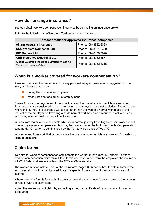## <span id="page-5-0"></span>**How do I arrange insurance?**

You can obtain workers compensation insurance by contacting an insurance broker.

Refer to the following list of Northern Territory approved insurers.

| Contact details for approved insurance companies                                    |                       |  |
|-------------------------------------------------------------------------------------|-----------------------|--|
| <b>Allianz Australia Insurance</b>                                                  | Phone: (08) 8982 8333 |  |
| <b>CGU Workers Compensation</b>                                                     | Phone: (08) 8924 0300 |  |
| <b>GIO General Ltd</b>                                                              | Phone: (08) 6188 0990 |  |
| <b>QBE Insurance (Australia) Ltd</b>                                                | Phone: (08) 8982 3877 |  |
| Allianz Australia Insurance Limited trading as<br><b>Territory Insurance Office</b> | Phone: (08) 8982 8315 |  |

## <span id="page-5-1"></span>**When is a worker covered for workers compensation?**

A worker is entitled to compensation for any personal injury or disease or an aggravation of an injury or disease that occurs:

- during the course of employment
- by any incident arising out of employment

Claims for most journeys to and from work involving the use of a motor vehicle are excluded. Journeys that are considered to be in the course of employment are not excluded. Examples are where the journey is to or from a workplace other than the worker's normal workplace at the request of the employer or travelling outside normal work hours as a result of a call out by an employer, whether paid for the call out travel or not.

Injuries from motor vehicle accidents while on a normal journey travelling to or from work are not covered by workers compensation but may be claimed under the Motor Accidents Compensation scheme (MAC), which is administered by the Territory Insurance Office (TIO).

Injuries to and from work that do not involve the use of a motor vehicle are covered. Eg. walking or riding a push bike.

## <span id="page-5-2"></span>**Claim forms**

To claim for workers compensation entitlements the worker must submit a Northern Territory workers compensation claim form. Claim forms can be obtained from the employer, the insurer or NT WorkSafe, and are available on the NT WorkSafe website.

The worker must complete Part I of the claim form, pages 3 - 5 and submit the claim form to the employer, along with a medical certificate of capacity from a doctor if the claim is for loss of income.

Where the claim form is for medical expenses only, the worker needs only to provide the account or receipt with the claim form.

**Note:** The worker cannot claim by submitting a medical certificate of capacity only. A claim form is required.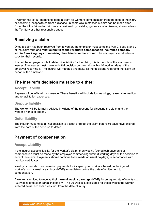A worker has six (6) months to lodge a claim for workers compensation from the date of the injury or becoming incapacitated from a disease. In some circumstances a claim can be made after 6 months if the failure to claim was occasioned by mistake, ignorance of a disease, absence from the Territory or other reasonable cause.

# <span id="page-6-0"></span>**Receiving a claim**

Once a claim has been received from a worker, the employer must complete Part 2, page 6 and 7 of the claim form and **must submit it to their workers compensation insurance company within 3 working days of receiving the claim from the worker**. The employer should retain a copy for their records.

It is not the employer's role to determine liability for the claim; this is the role of the employer's insurer. The insurer must make an initial decision on the claim within 10 working days of the employer receiving it. The insurer will manage and make all the decisions regarding the claim on behalf of the employer.

## <span id="page-6-1"></span>**The insurer's decision must be to either:**

#### <span id="page-6-2"></span>**Accept liability**

Payment of benefits will commence. These benefits will include lost earnings, reasonable medical and rehabilitation expenses.

#### <span id="page-6-3"></span>**Dispute liability**

The worker will be formally advised in writing of the reasons for disputing the claim and the worker's rights of appeal.

#### <span id="page-6-4"></span>**Defer liability**

The insurer must make a final decision to accept or reject the claim before 56 days have expired from the date of the decision to defer.

## <span id="page-6-5"></span>**Payment of compensation**

#### <span id="page-6-6"></span>**Accept Liability**

If the insurer accepts liability for the worker's claim, then weekly (periodical) payments of compensation must be made by the employer commencing within 3 working days of the decision to accept the claim. Payments should continue to be made on usual paydays, in accordance with medical certificates.

Weekly or periodic compensation payments for incapacity for work are based on the injured worker's normal weekly earnings (NWE) immediately before the date of entitlement to compensation.

A worker is entitled to receive their **normal weekly earnings** (NWE) for an aggregate of twenty-six (26) weeks of total or partial incapacity. The 26 weeks is calculated for those weeks the worker suffered actual economic loss, not from the date of injury.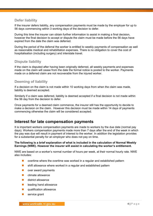#### <span id="page-7-0"></span>**Defer liability**

If the insurer defers liability, any compensation payments must be made by the employer for up to 56 days commencing within 3 working days of the decision to defer.

During this time the insurer can obtain further information to assist in making a final decision, however the final decision to accept or dispute the claim must be made before the 56 days have expired from the date the claim was deferred.

During the period of the deferral the worker is entitled to weekly payments of compensation as well as reasonable medical and rehabilitation expenses. There is no obligation to cover the cost of hospitalisation (including surgery) and interstate travel.

#### <span id="page-7-1"></span>**Dispute liability**

If the claim is disputed after having been originally deferred, all weekly payments and expenses made on the claim will cease from the date the formal notice is posted to the worker. Payments made on a deferred claim are not recoverable from the injured worker.

#### <span id="page-7-2"></span>**Deeming of liability**

If a decision on the claim is not made within 10 working days from when the claim was made, liability is deemed accepted.

Similarly if a claim was deferred, liability is deemed accepted if a final decision is not made within the 56 day from the decision to defer.

Once payments for a deemed claim commence, the insurer still has the opportunity to decide to make a decision on the claim. However this decision must be made within 14 days of payments commencing otherwise the claim will be considered accepted.

## <span id="page-7-3"></span>**Interest for late compensation payments**

It is important workers compensation payments are made to workers by the due date (normal pay days). Workers compensation payments made more than 7 days after the end of the week in which the pay was due will result in payment of interest to the worker. In addition the legislation provides for a substantial penalty for an employer who does not pay on time.

#### **The following is a brief explanation of what is included in the calculation of Normal Weekly Earnings (NWE). However the insurer will assist in calculating the worker's entitlement.**

NWE are based on a worker's normal number of hours per week, at their normal hourly rate. NWE also includes:

- overtime where the overtime was worked in a regular and established pattern
- **E** shift allowance where worked in a regular and established pattern
- **D** over award payments
- $\blacksquare$  climate allowance
- district allowance
- **L** leading hand allowance
- qualification allowance
- service grant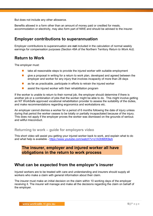But does not include any other allowance.

Benefits allowed in a form other than an amount of money paid or credited for meals, accommodation or electricity, may also form part of NWE and should be advised to the insurer.

## <span id="page-8-0"></span>**Employer contributions to superannuation**

Employer contributions to superannuation are **not** included in the calculation of normal weekly earnings for compensation purposes (Section 49A of the Northern Territory *Return to Work Act).*

## <span id="page-8-1"></span>**Return to Work**

The employer must:

- $\blacksquare$  take all reasonable steps to provide the injured worker with suitable employment
- qive a proposal in writing for a return to work plan, developed and agreed between the employer and worker for any injury that involves incapacity of more than 28 days
- **a** as far as practicable, participate in efforts to retrain the injured worker
- assist the injured worker with their rehabilitation program

If the worker is unable to return to their normal job, the employer should determine if there is another job or a combination of jobs that the worker might be able to do. This might involve getting an NT WorkSafe approved vocational rehabilitation provider to assess the suitability of the duties, and make recommendations regarding ergonomics and workstations etc.

An employer cannot dismiss a worker for a period of 6 months following the date of injury unless during that period the worker ceases to be totally or partially incapacitated because of the injury. This does not apply if the employer proves the worker was dismissed on the grounds of serious and willful misconduct.

#### <span id="page-8-2"></span>**Returning to work – guide for employers video**

This short video will assist you getting your injured worker back to work, and explain what to do and what help is available - <https://www.youtube.com/watch?v=o1A3hM0K9eA>

## **The insurer, employer and injured worker all have obligations in the return to work process**

## <span id="page-8-3"></span>**What can be expected from the employer's insurer**

Injured workers are to be treated with care and understanding and insurers should supply all workers who make a claim with general information about their claim.

The insurer must make an initial decision on the claim within 10 working days of the employer receiving it. The insurer will manage and make all the decisions regarding the claim on behalf of the employer.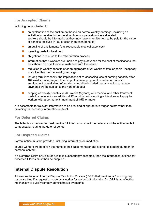## <span id="page-9-0"></span>**For Accepted Claims**

Including but not limited to:

- an explanation of the entitlement based on normal weekly earnings, including an invitation to receive further detail on how compensation was calculated Workers should be informed that they may have an entitlement to be paid for the value of benefits received in lieu of cash (non-cash benefits)
- an outline of entitlements (e.g. reasonable medical expenses)
- $\blacksquare$  travelling costs for treatment
- obligations in relation to the rehabilitation process
- $\blacksquare$  information that if workers are unable to pay in advance for the cost of medications that they should discuss their circumstances with the insurer
- reduction in weekly benefits after an aggregate of 26 weeks of total or partial incapacity to 75% of their normal weekly earnings
- for long term incapacity, the implications of re-assessing loss of earning capacity after 104 weeks having regard to most profitable employment, whether or not such employment is available. Information should be included that any action to reduce payments will be subject to the right of appeal
- capping of weekly benefits to 260 weeks (5 years) with medical and other treatment costs to continue for an additional 12 months before ending – this does not apply for workers with a permanent impairment of 15% or more

It is acceptable for relevant information to be provided at appropriate trigger points rather than providing unnecessary information up front.

#### <span id="page-9-1"></span>**For Deferred Claims**

The letter from the insurer must provide full information about the deferral and the entitlements to compensation during the deferral period.

#### <span id="page-9-2"></span>**For Disputed Claims**

Formal notice must be provided, including information on mediation.

Injured workers will be given the name of their case manager and a direct telephone number for personal contact.

If a Deferred Claim or Disputed Claim is subsequently accepted, then the information outlined for Accepted Claims must then be supplied.

## <span id="page-9-3"></span>**Internal Dispute Resolution**

All insurers have an Internal Dispute Resolution Process (IDRP) that provides a 5 working day response time if a request is made by a worker for review of their claim. An IDRP is an effective mechanism to quickly remedy administrative oversights.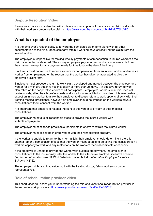#### <span id="page-10-0"></span>**Dispute Resolution Video**

Please watch our short video that will explain a workers options if there is a complaint or dispute with their workers compensation claim - <https://www.youtube.com/watch?v=bPaU7Qhd3Z0>

## <span id="page-10-1"></span>**What is expected of the employer**

It is the employer's responsibility to forward the completed claim form along with all other documentation to their insurance company within 3 working days of receiving the claim from the injured worker.

The employer is responsible for making weekly payments of compensation to injured workers if the claim is accepted or deferred. The money employers pay to injured workers is recoverable from their insurer, except for any payment made for time lost on the day of the injury.

Employers must not refuse to receive a claim for compensation from an injured worker or dismiss a worker from employment for the reason that the worker has given or attempted to give the employer a claim form.

Employers must propose a return to work plan, developed and agreed between the employer and worker for any injury that involves incapacity of more than 28 days. An effective return to work plan relies on the cooperative efforts of all participants – employers, workers, insurers, medical professionals, allied health professionals and vocational rehabilitation providers. It is reasonable to expect an injured worker to allow their employer to discuss return to work options directly with their treating medical practitioner, however, an employer should not impose on the workers private consultation without consent from the worker.

It is important that employers respect the right of the worker to privacy at their medical consultations.

The employer must take all reasonable steps to provide the injured worker with suitable employment.

The employer must as far as practicable, participate in efforts to retrain the injured worker.

The employer must assist the injured worker with their rehabilitation program.

If the worker is unable to return to their normal job, their employer should determine if there is another job or a combination of jobs that the worker might be able to do taking into consideration a workers capacity to work and any restrictions on the workers medical certificate of capacity.

If the employer is unable to provide the worker with suitable employment, the employer in consultation with the insurer may refer the worker to the alternative employer incentive scheme. For further information see NT WorkSafe information bulletin *Alternative Employer Incentive Scheme (AEIS)*.

The employer might also involve/consult with the treating doctor, fellow workers or union representatives.

#### <span id="page-10-2"></span>**Role of rehabilitation provider video**

This short video will assist you in understanding the role of a vocational rehabilitation provider in the return to work process - <https://www.youtube.com/watch?v=CubEeF0ZEPI>